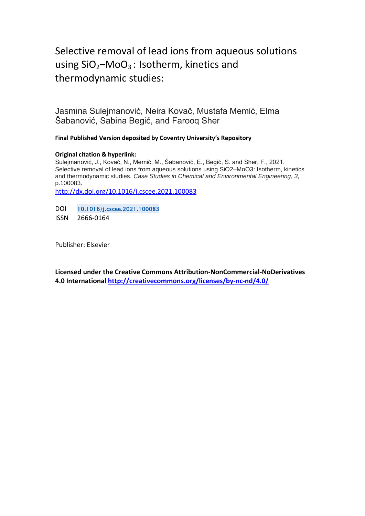# Selective removal of lead ions from aqueous solutions using  $SiO<sub>2</sub>–MoO<sub>3</sub>$ : Isotherm, kinetics and thermodynamic studies:

Jasmina Sulejmanović, Neira Kovač, Mustafa Memić, Elma Šabanović, Sabina Begić, and Farooq Sher

**Final Published Version deposited by Coventry University's Repository**

## **Original citation & hyperlink:**

Sulejmanović, J., Kovač, N., Memić, M., Šabanović, E., Begić, S. and Sher, F., 2021. Selective removal of lead ions from aqueous solutions using SiO2–MoO3: Isotherm, kinetics and thermodynamic studies. *Case Studies in Chemical and Environmental Engineering*, *3*, p.100083.

<http://dx.doi.org/10.1016/j.cscee.2021.100083>

DOI 10.1016/j.cscee.2021.100083

ISSN 2666-0164

Publisher: Elsevier

**Licensed under the Creative Commons Attribution-NonCommercial-NoDerivatives 4.0 International<http://creativecommons.org/licenses/by-nc-nd/4.0/>**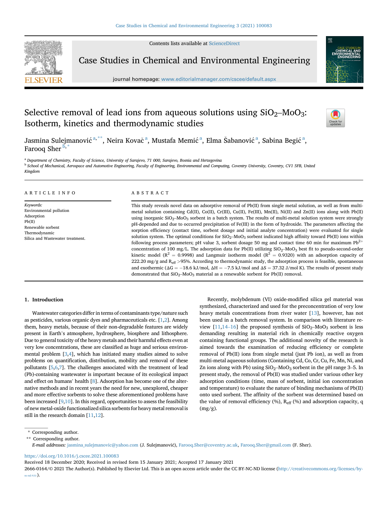Contents lists available at [ScienceDirect](www.sciencedirect.com/science/journal/26660164)



Case Studies in Chemical and Environmental Engineering

journal homepage: <www.editorialmanager.com/cscee/default.aspx>

## Selective removal of lead ions from aqueous solutions using  $SiO<sub>2</sub>$ –MoO<sub>3</sub>: Isotherm, kinetics and thermodynamic studies



Jasmina Sulejmanović <sup>[a,](#page-1-0) \*\*</sup>, Neir[a](#page-1-0) Kovač <sup>a</sup>, Mustafa Memić <sup>a</sup>, Elma Šabanović <sup>a</sup>, Sabina Begić <sup>a</sup>, Farooq Sher $\overline{b}$  $\overline{b}$  $\overline{b}$ ,

<span id="page-1-0"></span><sup>a</sup> Department of Chemistry, Faculty of Science, University of Sarajevo, 71 000, Sarajevo, Bosnia and Herzegovina

<span id="page-1-2"></span><sup>b</sup> School of Mechanical, Aerospace and Automotive Engineering, Faculty of Engineering, Environmental and Computing, Coventry University, Coventry, CV1 5FB, United Kingdom

## ARTICLE INFO

Keywords: Environmental pollution Adsorption Pb(II) Renewable sorbent Thermodynamic Silica and Wastewater treatment.

## ABSTRACT

This study reveals novel data on adsorptive removal of Pb(II) from single metal solution, as well as from multimetal solution containing Cd(II), Co(II), Cr(III), Cu(II), Fe(III), Mn(II), Ni(II) and Zn(II) ions along with Pb(II) using inorganic SiO<sub>2</sub>–MoO<sub>3</sub> sorbent in a batch system. The results of multi-metal solution system were strongly pH-depended and due to occurred precipitation of Fe(III) in the form of hydroxide. The parameters affecting the sorption efficiency (contact time, sorbent dosage and initial analyte concentration) were evaluated for single solution system. The optimal conditions for  $SiO_2-MoO_3$  sorbent indicated high affinity toward Pb(II) ions within following process parameters; pH value 3, sorbent dosage 50 mg and contact time 60 min for maximum  $Pb^{2+}$ concentration of 100 mg/L. The adsorption data for Pb(II) utilizing SiO<sub>2</sub>–MoO<sub>3</sub> best fit to pseudo-second-order kinetic model ( $R^2 = 0.9998$ ) and Langmuir isotherm model ( $R^2 = 0.9320$ ) with an adsorption capacity of 222.20 mg/g and  $R_{\text{eff}} > 95$ %. According to thermodynamic study, the adsorption process is feasible, spontaneous and exothermic ( $\Delta G = -18.6$  kJ/mol,  $\Delta H = -7.5$  kJ/mol and  $\Delta S = 37.32$  J/mol K). The results of present study demonstrated that  $SiO_2-MoO_3$  material as a renewable sorbent for Pb(II) removal.

## 1. Introduction

Wastewater categories differ in terms of contaminants type/nature such as pesticides, various organic dyes and pharmaceuticals etc. [[1](#page-4-0)[,2\]](#page-4-1). Among them, heavy metals, because of their non-degradable features are widely present in Earth's atmosphere, hydrosphere, biosphere and lithosphere. Due to general toxicity of the heavy metals and their harmful effects even at very low concentrations, these are classified as huge and serious environmental problem [\[3](#page-4-2),[4\]](#page-4-3), which has initiated many studies aimed to solve problems on quantification, distribution, mobility and removal of these pollutants [[5](#page-4-4)[,6,](#page-4-5)[7](#page-4-6)]. The challenges associated with the treatment of lead (Pb)-containing wastewater is important because of its ecological impact and effect on humans' health [[8\]](#page-4-7). Adsorption has become one of the alternative methods and in recent years the need for new, unexplored, cheaper and more effective sorbents to solve these aforementioned problems have been increased [\[9,](#page-4-8)[10](#page-4-9)]. In this regard, opportunities to assess the feasibility of new metal-oxide functionalized silica sorbents for heavy metal removal is still in the research domain [\[11](#page-4-10)[,12\]](#page-4-11).

Recently, molybdenum (VI) oxide-modified silica gel material was synthesized, characterized and used for the preconcentration of very low heavy metals concentrations from river water [[13\]](#page-4-12), however, has not been used in a batch removal system. In comparison with literature review  $[11,14-16]$  $[11,14-16]$  $[11,14-16]$  $[11,14-16]$  $[11,14-16]$  the proposed synthesis of  $SiO<sub>2</sub>$ –MoO<sub>3</sub> sorbent is less demanding resulting in material rich in chemically reactive oxygen containing functional groups. The additional novelty of the research is aimed towards the examination of reducing efficiency or complete removal of Pb(II) ions from single metal (just Pb ion), as well as from multi-metal aqueous solutions (Containing Cd, Co, Cr, Cu, Fe, Mn, Ni, and Zn ions along with Pb) using  $SiO_2$ -MoO<sub>3</sub> sorbent in the pH range 3-5. In present study, the removal of Pb(II) was studied under various other key adsorption conditions (time, mass of sorbent, initial ion concentration and temperature) to evaluate the nature of binding mechanisms of Pb(II) onto used sorbent. The affinity of the sorbent was determined based on the value of removal efficiency (%), Reff (%) and adsorption capacity, q (mg/g).

E-mail addresses: [jasmina\\_sulejmanovic@yahoo.com](mailto:jasmina_sulejmanovic@yahoo.com) (J. Sulejmanovic), [Farooq.Sher@coventry.ac.uk](mailto:Farooq.Sher@coventry.ac.uk), [Farooq.Sher@gmail.com](mailto:Farooq.Sher@gmail.com) (F. Sher).

<https://doi.org/10.1016/j.cscee.2021.100083>

Received 18 December 2020; Received in revised form 15 January 2021; Accepted 17 January 2021

2666-0164/© 2021 The Author(s). Published by Elsevier Ltd. This is an open access article under the CC BY-NC-ND license [\(http://creativecommons.org/licenses/by](http://creativecommons.org/licenses/by-nc-nd/4.0/) $nc-nd/4.0/$ ).

<sup>\*</sup> Corresponding author.

<span id="page-1-1"></span><sup>\*\*</sup> Corresponding author.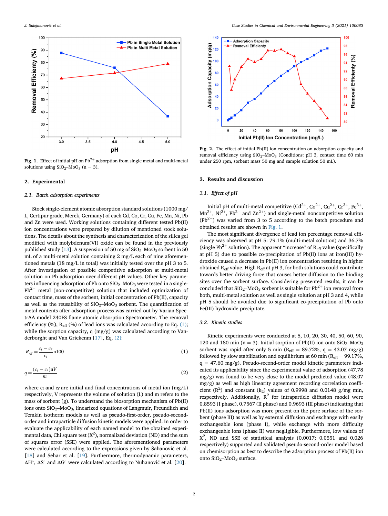<span id="page-2-2"></span>

Fig. 1. Effect of initial pH on  $Pb^{2+}$  adsorption from single metal and multi-metal solutions using  $SiO<sub>2</sub>$ –MoO<sub>3</sub> (n = 3).

## 2. Experimental

### 2.1. Batch adsorption experiments

Stock single-element atomic absorption standard solutions (1000 mg/ L, Certipur grade, Merck, Germany) of each Cd, Co, Cr, Cu, Fe, Mn, Ni, Pb and Zn were used. Working solutions containing different tested Pb(II) ion concentrations were prepared by dilution of mentioned stock solutions. The details about the synthesis and characterization of the silica gel modified with molybdenum(VI) oxide can be found in the previously published study [[13](#page-4-12)]. A suspension of 50 mg of  $SiO<sub>2</sub>$ –MoO<sub>3</sub> sorbent in 50 mL of a multi-metal solution containing 2 mg/L each of nine aforementioned metals (18 mg/L in total) was initially tested over the pH 3 to 5. After investigation of possible competitive adsorption at multi-metal solution on Pb adsorption over different pH values. Other key parameters influencing adsorption of Pb onto  $SiO_2$ –MoO<sub>3</sub> were tested in a single- $Pb^{2+}$  metal (non-competitive) solution that included optimization of contact time, mass of the sorbent, initial concentration of Pb(II), capacity as well as the reusability of  $SiO_2$ -MoO<sub>3</sub> sorbent. The quantification of metal contents after adsorption process was carried out by Varian SpectrAA model 240FS flame atomic absorption Spectrometer. The removal efficiency (%), Reff (%) of lead ions was calculated according to Eq. [\(1\);](#page-2-0) while the sorption capacity, q (mg/g) was calculated according to Vanderborght and Van Griekenm [[17\]](#page-4-14), Eq. [\(2\)](#page-2-1):

<span id="page-2-0"></span>
$$
R_{\text{eff}} = \frac{c_i - c_f}{c_i} \cdot 100 \tag{1}
$$

<span id="page-2-1"></span>
$$
q = \frac{(c_i - c_f)\mathbf{n}V}{m} \tag{2}
$$

where  $c_i$  and  $c_f$  are initial and final concentrations of metal ion (mg/L) respectively, V represents the volume of solution (L) and m refers to the mass of sorbent (g). To understand the biosorption mechanism of Pb(II) ions onto  $SiO_2$ -Mo $O_3$ , linearized equations of Langmuir, Freundlich and Temkin isotherm models as well as pseudo-first-order, pseudo-secondorder and intraparticle diffusion kinetic models were applied. In order to evaluate the applicability of each named model to the obtained experimental data, Chi square test (X $^2$ ), normalized deviation (ND) and the sum of squares error (SSE) were applied. The aforementioned parameters were calculated according to the expressions given by Šabanović et al. [[18\]](#page-4-15) and Sehar et al. [[19\]](#page-4-16). Furthermore, thermodynamic parameters,  $\Delta H^{\circ}$ ,  $\Delta S^{\circ}$  and  $\Delta G^{\circ}$  were calculated according to Nuhanović et al. [[20\]](#page-4-17).

<span id="page-2-3"></span>

Fig. 2. The effect of initial Pb(II) ion concentration on adsorption capacity and removal efficiency using  $SiO_2-MoO_3$  (Conditions: pH 3, contact time 60 min under 250 rpm, sorbent mass 50 mg and sample solution 50 mL).

## 3. Results and discussion

## 3.1. Effect of pH

Initial pH of multi-metal competitive  $(Cd^{2+}, Co^{2+}, Cu^{2+}, Cr^{3+}, Fe^{3+},$  $Mn^{2+}$ , Ni<sup>2+</sup>, Pb<sup>2+</sup> and Zn<sup>2+</sup>) and single-metal noncompetitive solution  $(Pb<sup>2+</sup>)$  was varied from 3 to 5 according to the batch procedure and obtained results are shown in [Fig. 1](#page-2-2).

The most significant divergence of lead ion percentage removal efficiency was observed at pH 5: 79.1% (multi-metal solution) and 36.7% (single Pb<sup>2+</sup> solution). The apparent "increase" of  $R_{\text{eff}}$  value (specifically at pH 5) due to possible co-precipitation of Pb(II) ions at iron(III) hydroxide caused a decrease in Pb(II) ion concentration resulting in higher obtained  $R_{\text{eff}}$  value. High  $R_{\text{eff}}$  at pH 3, for both solutions could contribute towards better driving force that causes better diffusion to the binding sites over the sorbent surface. Considering presented results, it can be concluded that  $SiO_2-MoO_3$  sorbent is suitable for  $Pb^{2+}$  ion removal from both, multi-metal solution as well as single solution at pH 3 and 4, while pH 5 should be avoided due to significant co-precipitation of Pb onto Fe(III) hydroxide precipitate.

## 3.2. Kinetic studies

Kinetic experiments were conducted at 5, 10, 20, 30, 40, 50, 60, 90, 120 and 180 min (n = 3). Initial sorption of Pb(II) ion onto  $SiO<sub>2</sub>$ –MoO<sub>3</sub> sorbent was rapid after only 5 min ( $R_{\text{eff}} = 89.72\%$ , q = 43.07 mg/g) followed by slow stabilization and equilibrium at 60 min ( $R_{\text{eff}} = 99.17\%$ ,  $q = 47.60$  mg/g). Pseudo-second-order model kinetic parameters indicated its applicability since the experimental value of adsorption (47.78 mg/g) was found to be very close to the model predicted value (48.07 mg/g) as well as high linearity agreement recording correlation coefficient  $(R^2)$  and constant  $(k_2)$  values of 0.9998 and 0.0148 g/mg min, respectively. Additionally,  $R^2$  for intraparticle diffusion model were 0.8593 (I phase), 0.7567 (II phase) and 0.9693 (III phase) indicating that Pb(II) ions adsorption was more present on the pore surface of the sorbent (phase III) as well as by external diffusion and exchange with easily exchangeable ions (phase I), while exchange with more difficulty exchangeable ions (phase II) was negligible. Furthermore, low values of  $X^2$ , ND and SSE of statistical analysis (0.0017; 0.0551 and 0.026 respectively) supported and validated pseudo-second-order model based on chemisorption as best to describe the adsorption process of Pb(II) ion onto SiO<sub>2</sub>-MoO<sub>3</sub> surface.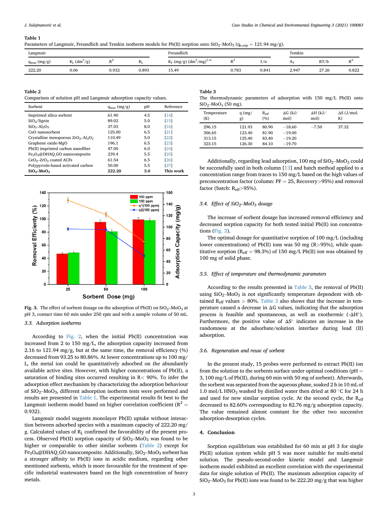#### <span id="page-3-0"></span>Table 1

Parameters of Langmuir, Freundlich and Temkin isotherm models for Pb(II) sorption onto  $SiO_2-MoO_3$  ( $q_{e,exp} = 121.94$  mg/g).

| Langmuir                              |                                      |                  |           | Freundlich                     |                |       | Temkin |       |                    |
|---------------------------------------|--------------------------------------|------------------|-----------|--------------------------------|----------------|-------|--------|-------|--------------------|
| $_{\rm m}$ (mg/g)<br>$q_{\text{max}}$ | <b>TF</b><br>$(dm^3/g)$<br>$K_{L,1}$ | $\mathbf{L}$<br> | $\rm R_L$ | $K_F$ (mg/g) $(dm^3/mg)^{1/n}$ | D <sup>2</sup> | 1/n   | Aт     | RT/b  | n <sup>2</sup><br> |
| 222.20                                | 0.06                                 | 0.932            | 0.893     | 15.49                          | 0.783          | 0.841 | 2.947  | 27.26 | 0.822              |

## <span id="page-3-1"></span>Table 2

Comparison of solution pH and Langmuir adsorption capacity values.

| Sorbent                                               | $q_{max}(mg/g)$ | pH  | Reference          |
|-------------------------------------------------------|-----------------|-----|--------------------|
| Imprinted silica sorbent                              | 61.90           | 4.5 | [14]               |
| SiO <sub>2</sub> /lignin                              | 89.02           | 5.0 | [15]               |
| $SiO2-Al2O3$                                          | 37.03           | 8.0 | [16]               |
| CuO nanosorbent                                       | 125.00          | 6.5 | $\lceil 21 \rceil$ |
| Crystalline mesoporous $ZrO_2 - Al_2O_3$              | 110.49          | 5.0 | [22]               |
| Graphene oxide-MgO                                    | 196.1           | 6.5 | [23]               |
| Pb(II) imprinted carbon nanofiber                     | 47.00           | 6.0 | $\sqrt{241}$       |
| Fe <sub>3</sub> O <sub>4</sub> @DHAQ_GO nanocomposite | 239.4           | 5.5 | $\sqrt{25}$        |
| $CeO2-ZrO2$ coated ACFs                               | 61.54           | 6.5 | $\lceil 26 \rceil$ |
| Polypyrrole-based activated carbon                    | 50.00           | 5.5 | [27]               |
| $SiO2 - MoO3$                                         | 222.20          | 3.0 | This work          |

<span id="page-3-2"></span>

Fig. 3. The effect of sorbent dosage on the adsorption of Pb(II) on  $SiO_2-MoO_3$  at pH 3, contact time 60 min under 250 rpm and with a sample volume of 50 mL.

## 3.3. Adsorption isotherms

According to [Fig. 2](#page-2-3), when the initial Pb(II) concentration was increased from 2 to 150 mg/L, the adsorption capacity increased from 2.16 to 121.94 mg/g, but at the same time, the removal efficiency (%) decreased from 93.25 to 80.86%. At lower concentrations up to 100 mg/ L, the metal ion could be quantitatively adsorbed on the abundantly available active sites. However, with higher concentrations of Pb(II), a saturation of binding sites occurred resulting in  $R$ < 90%. To infer the adsorption effect mechanism by characterizing the adsorption behaviour of SiO2–MoO3, different adsorption isotherm tests were performed and results are presented in [Table 1](#page-3-0). The experimental results fit best to the Langmuir isotherm model based on higher correlation coefficient ( $R^2 =$ 0.932).

Langmuir model suggests monolayer Pb(II) uptake without interaction between adsorbed species with a maximum capacity of 222.20 mg/ g. Calculated values of RL confirmed the favorability of the present process. Observed Pb(II) sorption capacity of  $SiO<sub>2</sub>$ –MoO<sub>3</sub> was found to be higher or comparable to other similar sorbents ([Table 2](#page-3-1)) except for Fe<sub>3</sub>O<sub>4</sub>@DHAQ\_GO nanocomposite. Additionally,  $SiO_2$ –MoO<sub>3</sub> sorbent has a stronger affinity to Pb(II) ions in acidic medium, regarding other mentioned sorbents, which is more favourable for the treatment of specific industrial wastewaters based on the high concentration of heavy metals.

### <span id="page-3-3"></span>Table 3 The thermodynamic parameters of adsorption with 150 mg/L Pb(II) onto  $SiO<sub>2</sub>$ Mo $O<sub>2</sub>$  (50 mg).

| $5.02 \div 0.000$ $0.000$ $0.000$    |                                      |                                  |                                              |                         |                          |  |  |  |
|--------------------------------------|--------------------------------------|----------------------------------|----------------------------------------------|-------------------------|--------------------------|--|--|--|
| Temperature<br>(K)                   | $q$ (mg/<br>g)                       | $R_{eff}$<br>(%)                 | $\Delta G$ (kJ/<br>mol)                      | $\Delta H$ (kJ/<br>mol) | $\Delta S$ (J/mol.<br>K) |  |  |  |
| 296.15<br>306.65<br>313.15<br>323.15 | 121.93<br>123.40<br>125.40<br>126.30 | 80.90<br>81.90<br>83.40<br>84.10 | $-18.60$<br>$-19.00$<br>$-19.20$<br>$-19.70$ | $-7.50$                 | 37.32                    |  |  |  |

Additionally, regarding lead adsorption, 100 mg of  $SiO_2-MoO_3$  could be successfully used in both column [[13\]](#page-4-12) and batch method applied to a concentration range from traces to 150 mg/L based on the high values of preconcentration factor (column:  $PF = 25$ , Recovery > 95%) and removal factor (batch: Reff>95%).

## 3.4. Effect of  $SiO<sub>2</sub>$ -MoO<sub>3</sub> dosage

The increase of sorbent dosage has increased removal efficiency and decreased sorption capacity for both tested initial Pb(II) ion concentrations ([Fig. 3\)](#page-3-2).

The optimal dosage for quantitative sorption of 100 mg/L (including lower concentrations) of Pb(II) ions was 50 mg (R>95%), while quantitative sorption ( $R_{\text{eff}} = 98.3\%$ ) of 150 mg/L Pb(II) ion was obtained by 100 mg of solid phase.

## 3.5. Effect of temperature and thermodynamic parameters

According to the results presented in [Table 3](#page-3-3), the removal of Pb(II) using  $SiO<sub>2</sub>$ –Mo $O<sub>3</sub>$  is not significantly temperature dependent with obtained  $R_{\text{eff}}$  values  $> 80\%$ . [Table 3](#page-3-3) also shows that the increase in temperature caused a decrease in ΔG values, indicating that the adsorption process is feasible and spontaneous, as well as exothermic  $(-\Delta H^{\circ})$ . Furthermore, the positive value of  $\Delta S^{\circ}$  indicates an increase in the randomness at the adsorbate/solution interface during lead (II) adsorption.

## 3.6. Regeneration and reuse of sorbent

In the present study, 15 probes were performed to extract Pb(II) ion from the solution to the sorbents surface under optimal conditions ( $pH =$ 3, 100 mg/L of Pb(II), during 60 min with 50 mg of sorbent). Afterwards, the sorbent was separated from the aqueous phase, soaked 2 h in 10 mL of 1.0 mol/L HNO<sub>3</sub> washed by distilled water then dried at 80  $\degree$ C for 24 h and used for new similar sorption cycle. At the second cycle, the Reff decreased to 82.60% corresponding to 82.76 mg/g adsorption capacity. The value remained almost constant for the other two successive adsorption-desorption cycles.

## 4. Conclusion

Sorption equilibrium was established for 60 min at pH 3 for single Pb(II) solution system while pH 5 was more suitable for multi-metal solution. The pseudo-second-order kinetic model and Langmuir isotherm model exhibited an excellent correlation with the experimental data for single solution of Pb(II). The maximum adsorption capacity of  $SiO<sub>2</sub>$ –MoO<sub>3</sub> for Pb(II) ions was found to be 222.20 mg/g that was higher